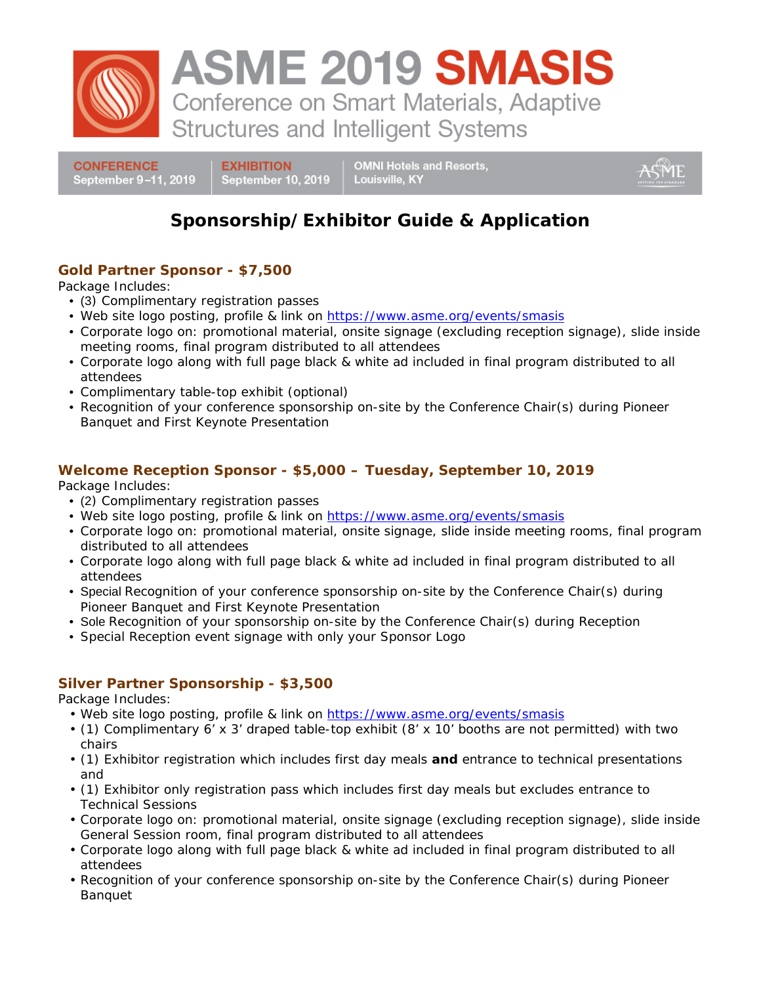

**CONFERENCE** September 9-11, 2019 **EXHIBITION** September 10, 2019 **OMNI Hotels and Resorts,** Louisville, KY

# **Sponsorship/Exhibitor Guide & Application**

# **Gold Partner Sponsor - \$7,500**

Package Includes:

- (3) Complimentary registration passes
- Web site logo posting, profile & link on <https://www.asme.org/events/smasis>
- Corporate logo on: promotional material, onsite signage (excluding reception signage), slide inside meeting rooms, final program distributed to all attendees
- Corporate logo along with full page black & white ad included in final program distributed to all attendees
- Complimentary table-top exhibit (optional)
- Recognition of your conference sponsorship on-site by the Conference Chair(s) during Pioneer Banquet and First Keynote Presentation

### **Welcome Reception Sponsor - \$5,000 – Tuesday, September 10, 2019**

Package Includes:

- (2) Complimentary registration passes
- Web site logo posting, profile & link on<https://www.asme.org/events/smasis>
- Corporate logo on: promotional material, onsite signage, slide inside meeting rooms, final program distributed to all attendees
- Corporate logo along with full page black & white ad included in final program distributed to all attendees
- Special Recognition of your conference sponsorship on-site by the Conference Chair(s) during Pioneer Banquet and First Keynote Presentation
- Sole Recognition of your sponsorship on-site by the Conference Chair(s) during Reception
- Special Reception event signage with only your Sponsor Logo

# **Silver Partner Sponsorship - \$3,500**

Package Includes:

- Web site logo posting, profile & link on<https://www.asme.org/events/smasis>
- (1) Complimentary 6' x 3' draped table-top exhibit (8' x 10' booths are not permitted) with two chairs
- (1) Exhibitor registration which includes first day meals **and** entrance to technical presentations and
- (1) Exhibitor only registration pass which includes first day meals but excludes entrance to Technical Sessions
- Corporate logo on: promotional material, onsite signage (excluding reception signage), slide inside General Session room, final program distributed to all attendees
- Corporate logo along with full page black & white ad included in final program distributed to all attendees
- Recognition of your conference sponsorship on-site by the Conference Chair(s) during Pioneer Banquet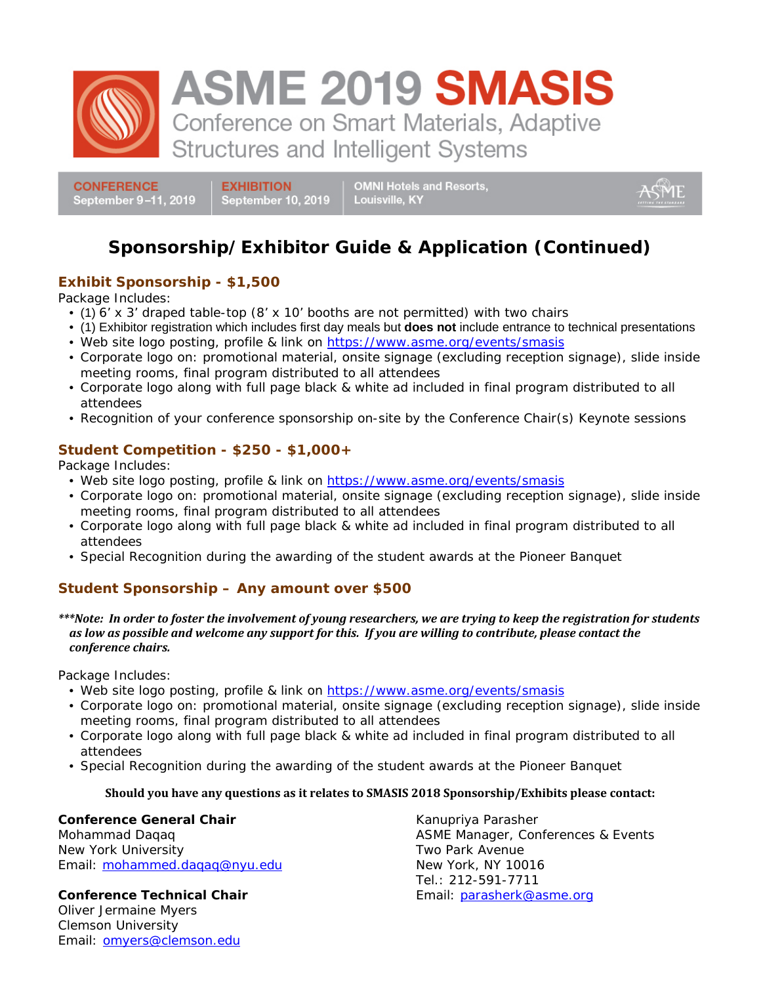

**ASME 2019 SMASIS** Conference on Smart Materials, Adaptive

**Structures and Intelligent Systems** 

**CONFERENCE** September 9-11, 2019 **EXHIBITION** September 10, 2019 **OMNI Hotels and Resorts,** Louisville, KY

# **Sponsorship/Exhibitor Guide & Application (Continued)**

# **Exhibit Sponsorship - \$1,500**

Package Includes:

- (1) 6' x 3' draped table-top (8' x 10' booths are not permitted) with two chairs
- (1) Exhibitor registration which includes first day meals but **does not** include entrance to technical presentations
- Web site logo posting, profile & link on<https://www.asme.org/events/smasis>
- Corporate logo on: promotional material, onsite signage (excluding reception signage), slide inside meeting rooms, final program distributed to all attendees
- Corporate logo along with full page black & white ad included in final program distributed to all attendees
- Recognition of your conference sponsorship on-site by the Conference Chair(s) Keynote sessions

### **Student Competition - \$250 - \$1,000+**

Package Includes:

- Web site logo posting, profile & link on<https://www.asme.org/events/smasis>
- Corporate logo on: promotional material, onsite signage (excluding reception signage), slide inside meeting rooms, final program distributed to all attendees
- Corporate logo along with full page black & white ad included in final program distributed to all attendees
- Special Recognition during the awarding of the student awards at the Pioneer Banquet

# **Student Sponsorship – Any amount over \$500**

*\*\*\*Note: In order to foster the involvement of young researchers, we are trying to keep the registration for students as low as possible and welcome any support for this. If you are willing to contribute, please contact the conference chairs.* 

Package Includes:

- Web site logo posting, profile & link on<https://www.asme.org/events/smasis>
- Corporate logo on: promotional material, onsite signage (excluding reception signage), slide inside meeting rooms, final program distributed to all attendees
- Corporate logo along with full page black & white ad included in final program distributed to all attendees
- Special Recognition during the awarding of the student awards at the Pioneer Banquet

#### **Should you have any questions as it relates to SMASIS 2018 Sponsorship/Exhibits please contact:**

**Conference General Chair**  Mohammad Daqaq

New York University Email: mohammed.daqaq@nyu.edu

**Conference Technical Chair** Oliver Jermaine Myers Clemson University Email: [omyers@clemson.edu](mailto:omyers@clemson.edu)

Kanupriya Parasher ASME Manager, Conferences & Events Two Park Avenue New York, NY 10016 Tel.: 212-591-7711 Email: [parasherk@asme.org](mailto:parasherk@asme.org)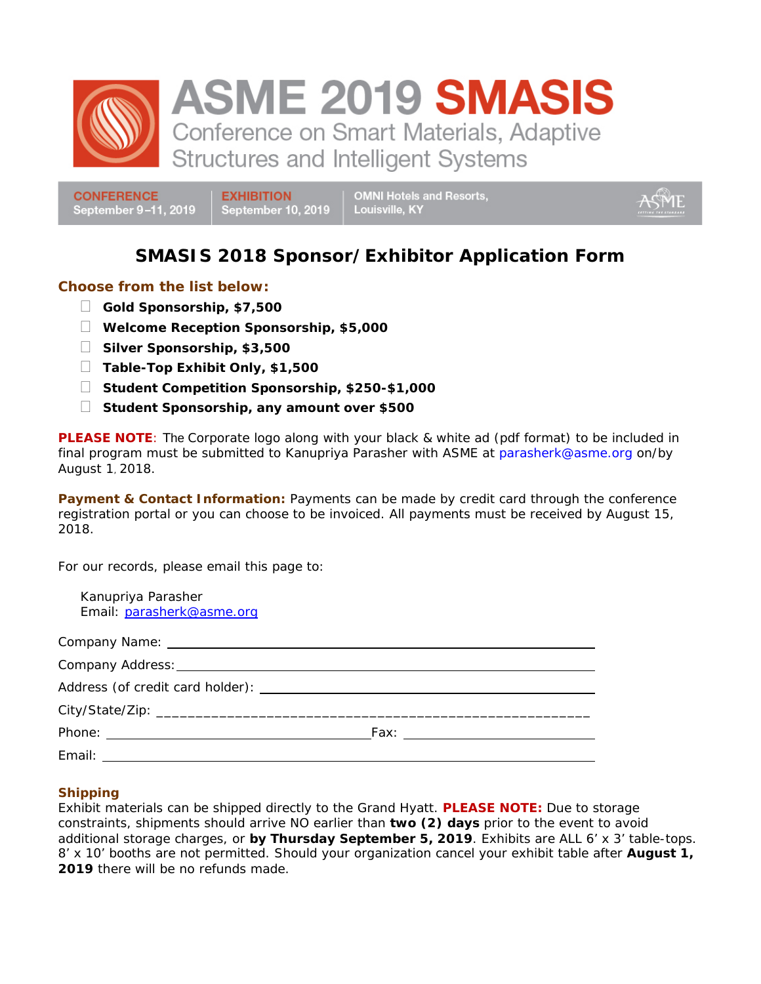

**ASME 2019 SMASIS** 

Conference on Smart Materials, Adaptive **Structures and Intelligent Systems** 

**CONFERENCE** September 9-11, 2019 **EXHIBITION** September 10, 2019 **OMNI Hotels and Resorts,** Louisville, KY

# **SMASIS 2018 Sponsor/Exhibitor Application Form**

#### **Choose from the list below:**

- **Gold Sponsorship, \$7,500**
- **Welcome Reception Sponsorship, \$5,000**
- **Silver Sponsorship, \$3,500**
- **Table-Top Exhibit Only, \$1,500**
- **Student Competition Sponsorship, \$250-\$1,000**
- **Student Sponsorship, any amount over \$500**

**PLEASE NOTE**: The Corporate logo along with your black & white ad (pdf format) to be included in final program must be submitted to Kanupriya Parasher with ASME at parasherk@asme.org on/by August 1, 2018.

**Payment & Contact Information:** Payments can be made by credit card through the conference registration portal or you can choose to be invoiced. All payments must be received by August 15, 2018.

For our records, please email this page to:

| Kanupriya Parasher<br>Email: parasherk@asme.org |  |
|-------------------------------------------------|--|
|                                                 |  |
|                                                 |  |
|                                                 |  |
|                                                 |  |
|                                                 |  |
|                                                 |  |
|                                                 |  |

#### **Shipping**

Exhibit materials can be shipped directly to the Grand Hyatt. **PLEASE NOTE:** Due to storage constraints, shipments should arrive NO earlier than **two (2) days** prior to the event to avoid additional storage charges, or **by Thursday September 5, 2019**. Exhibits are ALL 6' x 3' table-tops. 8' x 10' booths are not permitted. Should your organization cancel your exhibit table after **August 1,**  2019 there will be no refunds made.